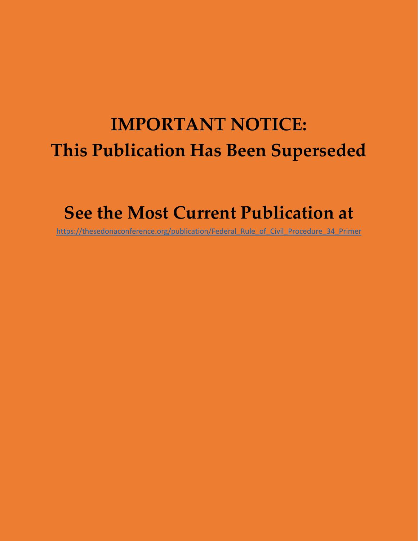# **IMPORTANT NOTICE: This Publication Has Been Superseded**

# **See the Most Current Publication at**

[https://thesedonaconference.org/publication/Federal\\_Rule\\_of\\_Civil\\_Procedure\\_34\\_Primer](https://thesedonaconference.org/publication/Federal_Rule_of_Civil_Procedure_34_Primer)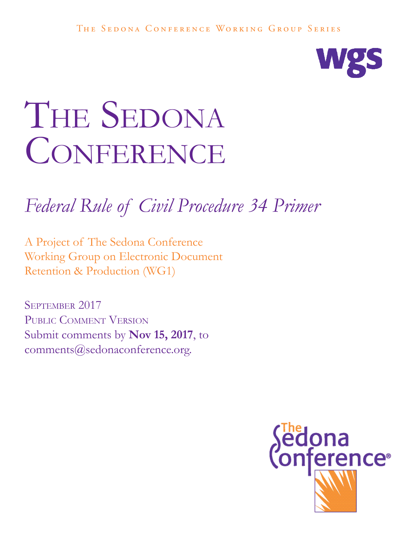

# THE SEDONA CONFERENCE

# *Federal Rule of Civil Procedure 34 Primer*

A Project of The Sedona Conference Working Group on Electronic Document Retention & Production (WG1)

September 2017 PUBLIC COMMENT VERSION Submit comments by **Nov 15, 2017**, to comments@sedonaconference.org.

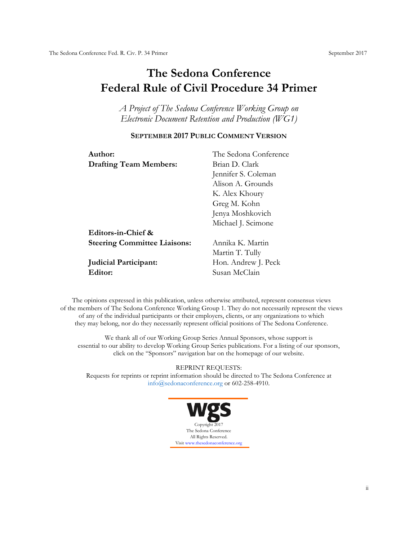## **The Sedona Conference Federal Rule of Civil Procedure 34 Primer**

*A Project of The Sedona Conference Working Group on Electronic Document Retention and Production (WG1)*

#### **SEPTEMBER 2017 PUBLIC COMMENT VERSION**

| Author:                             | The Sedona Conference |  |  |
|-------------------------------------|-----------------------|--|--|
| <b>Drafting Team Members:</b>       | Brian D. Clark        |  |  |
|                                     | Jennifer S. Coleman   |  |  |
|                                     | Alison A. Grounds     |  |  |
|                                     | K. Alex Khoury        |  |  |
|                                     | Greg M. Kohn          |  |  |
|                                     | Jenya Moshkovich      |  |  |
|                                     | Michael J. Scimone    |  |  |
| Editors-in-Chief &                  |                       |  |  |
| <b>Steering Committee Liaisons:</b> | Annika K. Martin      |  |  |
|                                     | Martin T. Tully       |  |  |
| <b>Judicial Participant:</b>        | Hon. Andrew J. Peck   |  |  |
| Editor:                             | Susan McClain         |  |  |

The opinions expressed in this publication, unless otherwise attributed, represent consensus views of the members of The Sedona Conference Working Group 1. They do not necessarily represent the views of any of the individual participants or their employers, clients, or any organizations to which they may belong, nor do they necessarily represent official positions of The Sedona Conference.

We thank all of our Working Group Series Annual Sponsors, whose support is essential to our ability to develop Working Group Series publications. For a listing of our sponsors, click on the "Sponsors" navigation bar on the homepage of our website.

REPRINT REQUESTS:

Requests for reprints or reprint information should be directed to The Sedona Conference at [info@sedonaconference.org](mailto:info@sedonaconference.org) or 602-258-4910.

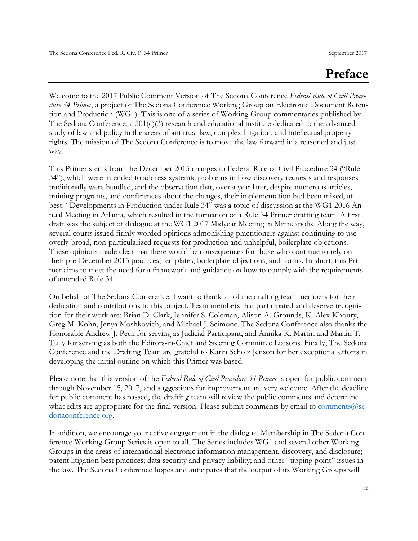## **Preface**

Welcome to the 2017 Public Comment Version of The Sedona Conference *Federal Rule of Civil Procedure 34 Primer*, a project of The Sedona Conference Working Group on Electronic Document Retention and Production (WG1). This is one of a series of Working Group commentaries published by The Sedona Conference, a 501(c)(3) research and educational institute dedicated to the advanced study of law and policy in the areas of antitrust law, complex litigation, and intellectual property rights. The mission of The Sedona Conference is to move the law forward in a reasoned and just way.

This Primer stems from the December 2015 changes to Federal Rule of Civil Procedure 34 ("Rule 34"), which were intended to address systemic problems in how discovery requests and responses traditionally were handled, and the observation that, over a year later, despite numerous articles, training programs, and conferences about the changes, their implementation had been mixed, at best. "Developments in Production under Rule 34" was a topic of discussion at the WG1 2016 Annual Meeting in Atlanta, which resulted in the formation of a Rule 34 Primer drafting team. A first draft was the subject of dialogue at the WG1 2017 Midyear Meeting in Minneapolis. Along the way, several courts issued firmly-worded opinions admonishing practitioners against continuing to use overly-broad, non-particularized requests for production and unhelpful, boilerplate objections. These opinions made clear that there would be consequences for those who continue to rely on their pre-December 2015 practices, templates, boilerplate objections, and forms. In short, this Primer aims to meet the need for a framework and guidance on how to comply with the requirements of amended Rule 34.

On behalf of The Sedona Conference, I want to thank all of the drafting team members for their dedication and contributions to this project. Team members that participated and deserve recognition for their work are: Brian D. Clark, Jennifer S. Coleman, Alison A. Grounds, K. Alex Khoury, Greg M. Kohn, Jenya Moshkovich, and Michael J. Scimone. The Sedona Conference also thanks the Honorable Andrew J. Peck for serving as Judicial Participant, and Annika K. Martin and Martin T. Tully for serving as both the Editors-in-Chief and Steering Committee Liaisons. Finally, The Sedona Conference and the Drafting Team are grateful to Karin Scholz Jenson for her exceptional efforts in developing the initial outline on which this Primer was based.

Please note that this version of the *Federal Rule of Civil Procedure 34 Primer* is open for public comment through November 15, 2017, and suggestions for improvement are very welcome. After the deadline for public comment has passed, the drafting team will review the public comments and determine what edits are appropriate for the final version. Please submit comments by email to comments  $@$ se[donaconference.org.](mailto:comments@sedonaconference.org)

In addition, we encourage your active engagement in the dialogue. Membership in The Sedona Conference Working Group Series is open to all. The Series includes WG1 and several other Working Groups in the areas of international electronic information management, discovery, and disclosure; patent litigation best practices; data security and privacy liability; and other "tipping point" issues in the law. The Sedona Conference hopes and anticipates that the output of its Working Groups will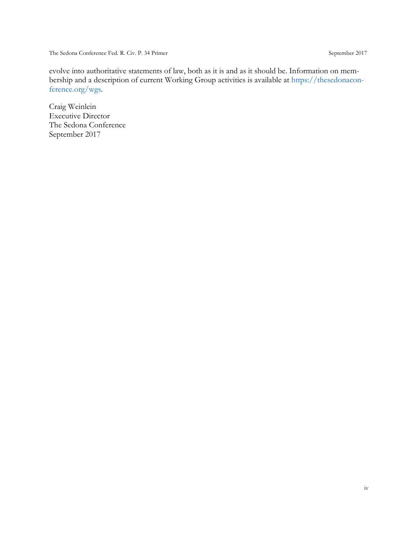evolve into authoritative statements of law, both as it is and as it should be. Information on membership and a description of current Working Group activities is available at [https://thesedonacon](https://thesedonaconference.org/wgs)[ference.org/wgs.](https://thesedonaconference.org/wgs)

Craig Weinlein Executive Director The Sedona Conference September 2017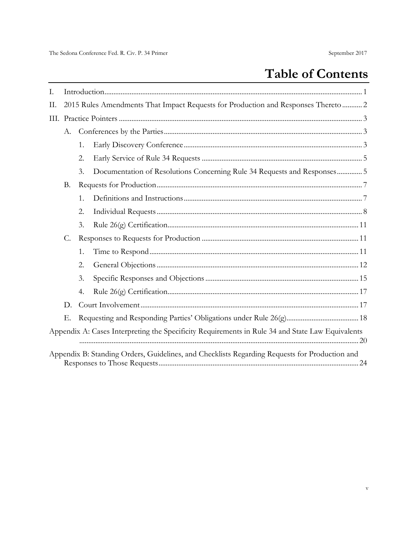## **Table of Contents**

| Ι.   |                                                                                   |             |                                                                                                  |  |  |  |  |
|------|-----------------------------------------------------------------------------------|-------------|--------------------------------------------------------------------------------------------------|--|--|--|--|
| П.   | 2015 Rules Amendments That Impact Requests for Production and Responses Thereto 2 |             |                                                                                                  |  |  |  |  |
| III. |                                                                                   |             |                                                                                                  |  |  |  |  |
|      | А.                                                                                |             |                                                                                                  |  |  |  |  |
|      |                                                                                   | $1_{\cdot}$ |                                                                                                  |  |  |  |  |
|      |                                                                                   | 2.          |                                                                                                  |  |  |  |  |
|      |                                                                                   | 3.          | Documentation of Resolutions Concerning Rule 34 Requests and Responses 5                         |  |  |  |  |
|      | В.                                                                                |             |                                                                                                  |  |  |  |  |
|      |                                                                                   | 1.          |                                                                                                  |  |  |  |  |
|      |                                                                                   | 2.          |                                                                                                  |  |  |  |  |
|      |                                                                                   | 3.          |                                                                                                  |  |  |  |  |
|      | C.                                                                                |             |                                                                                                  |  |  |  |  |
|      |                                                                                   | 1.          |                                                                                                  |  |  |  |  |
|      |                                                                                   | 2.          |                                                                                                  |  |  |  |  |
|      |                                                                                   | 3.          |                                                                                                  |  |  |  |  |
|      |                                                                                   | 4.          |                                                                                                  |  |  |  |  |
|      | D.                                                                                |             |                                                                                                  |  |  |  |  |
|      | Е.                                                                                |             |                                                                                                  |  |  |  |  |
|      |                                                                                   |             | Appendix A: Cases Interpreting the Specificity Requirements in Rule 34 and State Law Equivalents |  |  |  |  |
|      |                                                                                   |             | Appendix B: Standing Orders, Guidelines, and Checklists Regarding Requests for Production and    |  |  |  |  |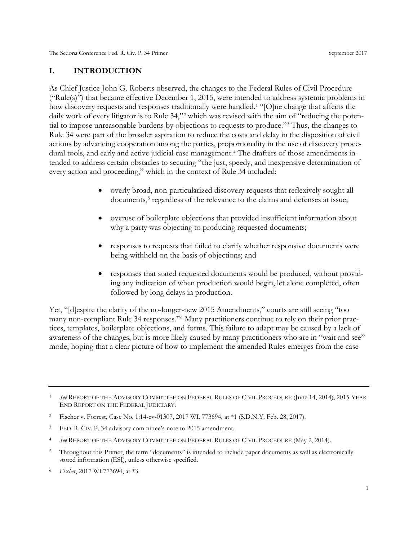#### <span id="page-6-0"></span>**I. INTRODUCTION**

As Chief Justice John G. Roberts observed, the changes to the Federal Rules of Civil Procedure ("Rule(s)") that became effective December 1, 2015, were intended to address systemic problems in how discovery requests and responses traditionally were handled.<sup>[1](#page-6-1)</sup> "[O]ne change that affects the daily work of every litigator is to Rule 34,"<sup>[2](#page-6-2)</sup> which was revised with the aim of "reducing the potential to impose unreasonable burdens by objections to requests to produce."[3](#page-6-3) Thus, the changes to Rule 34 were part of the broader aspiration to reduce the costs and delay in the disposition of civil actions by advancing cooperation among the parties, proportionality in the use of discovery proce-dural tools, and early and active judicial case management.<sup>[4](#page-6-4)</sup> The drafters of those amendments intended to address certain obstacles to securing "the just, speedy, and inexpensive determination of every action and proceeding," which in the context of Rule 34 included:

- overly broad, non-particularized discovery requests that reflexively sought all documents,<sup>[5](#page-6-5)</sup> regardless of the relevance to the claims and defenses at issue;
- overuse of boilerplate objections that provided insufficient information about why a party was objecting to producing requested documents;
- responses to requests that failed to clarify whether responsive documents were being withheld on the basis of objections; and
- responses that stated requested documents would be produced, without providing any indication of when production would begin, let alone completed, often followed by long delays in production.

Yet, "[d]espite the clarity of the no-longer-new 2015 Amendments," courts are still seeing "too many non-compliant Rule 34 responses."[6](#page-6-6) Many practitioners continue to rely on their prior practices, templates, boilerplate objections, and forms. This failure to adapt may be caused by a lack of awareness of the changes, but is more likely caused by many practitioners who are in "wait and see" mode, hoping that a clear picture of how to implement the amended Rules emerges from the case

- <span id="page-6-4"></span><sup>4</sup> *See* REPORT OF THE ADVISORY COMMITTEE ON FEDERAL RULES OF CIVIL PROCEDURE (May 2, 2014).
- <span id="page-6-5"></span><sup>5</sup> Throughout this Primer, the term "documents" is intended to include paper documents as well as electronically stored information (ESI), unless otherwise specified.
- <span id="page-6-6"></span><sup>6</sup> *Fischer*, 2017 WL773694, at \*3.

<span id="page-6-1"></span><sup>1</sup> *See* REPORT OF THE ADVISORY COMMITTEE ON FEDERAL RULES OF CIVIL PROCEDURE (June 14, 2014); 2015 YEAR-END REPORT ON THE FEDERAL JUDICIARY.

<span id="page-6-2"></span><sup>2</sup> Fischer v. Forrest, Case No. 1:14-cv-01307, 2017 WL 773694, at \*1 (S.D.N.Y. Feb. 28, 2017).

<span id="page-6-3"></span><sup>3</sup> FED. R. CIV. P. 34 advisory committee's note to 2015 amendment.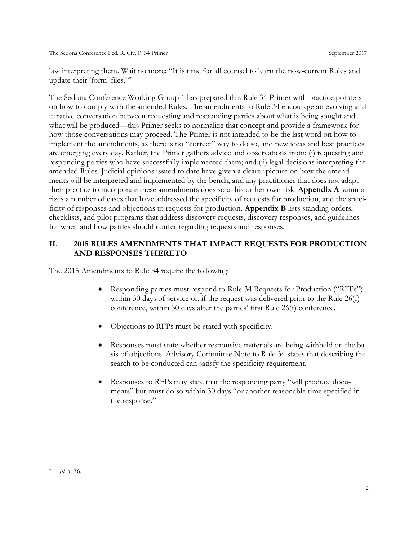law interpreting them. Wait no more: "It is time for all counsel to learn the now-current Rules and update their 'form' files."[7](#page-7-1)

The Sedona Conference Working Group 1 has prepared this Rule 34 Primer with practice pointers on how to comply with the amended Rules. The amendments to Rule 34 encourage an evolving and iterative conversation between requesting and responding parties about what is being sought and what will be produced—this Primer seeks to normalize that concept and provide a framework for how those conversations may proceed. The Primer is not intended to be the last word on how to implement the amendments, as there is no "correct" way to do so, and new ideas and best practices are emerging every day. Rather, the Primer gathers advice and observations from: (i) requesting and responding parties who have successfully implemented them; and (ii) legal decisions interpreting the amended Rules. Judicial opinions issued to date have given a clearer picture on how the amendments will be interpreted and implemented by the bench, and any practitioner that does not adapt their practice to incorporate these amendments does so at his or her own risk. **Appendix A** summarizes a number of cases that have addressed the specificity of requests for production, and the specificity of responses and objections to requests for production**. Appendix B** lists standing orders, checklists, and pilot programs that address discovery requests, discovery responses, and guidelines for when and how parties should confer regarding requests and responses.

#### <span id="page-7-0"></span>**II. 2015 RULES AMENDMENTS THAT IMPACT REQUESTS FOR PRODUCTION AND RESPONSES THERETO**

The 2015 Amendments to Rule 34 require the following:

- Responding parties must respond to Rule 34 Requests for Production ("RFPs") within 30 days of service or, if the request was delivered prior to the Rule 26(f) conference, within 30 days after the parties' first Rule 26(f) conference.
- Objections to RFPs must be stated with specificity.
- Responses must state whether responsive materials are being withheld on the basis of objections. Advisory Committee Note to Rule 34 states that describing the search to be conducted can satisfy the specificity requirement.
- Responses to RFPs may state that the responding party "will produce documents" but must do so within 30 days "or another reasonable time specified in the response."

<span id="page-7-1"></span><sup>7</sup> *Id.* at \*6.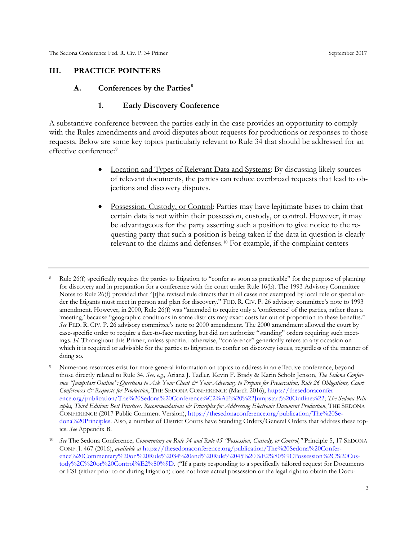#### <span id="page-8-2"></span><span id="page-8-1"></span><span id="page-8-0"></span>**III. PRACTICE POINTERS**

#### **A. Conferences by the Parties[8](#page-8-3)**

#### **1. Early Discovery Conference**

A substantive conference between the parties early in the case provides an opportunity to comply with the Rules amendments and avoid disputes about requests for productions or responses to those requests. Below are some key topics particularly relevant to Rule 34 that should be addressed for an effective conference: [9](#page-8-4)

- Location and Types of Relevant Data and Systems: By discussing likely sources of relevant documents, the parties can reduce overbroad requests that lead to objections and discovery disputes.
- Possession, Custody, or Control: Parties may have legitimate bases to claim that certain data is not within their possession, custody, or control. However, it may be advantageous for the party asserting such a position to give notice to the requesting party that such a position is being taken if the data in question is clearly relevant to the claims and defenses.[10](#page-8-5) For example, if the complaint centers

<span id="page-8-3"></span><sup>8</sup> Rule 26(f) specifically requires the parties to litigation to "confer as soon as practicable" for the purpose of planning for discovery and in preparation for a conference with the court under Rule 16(b). The 1993 Advisory Committee Notes to Rule 26(f) provided that "[t]he revised rule directs that in all cases not exempted by local rule or special order the litigants must meet in person and plan for discovery." FED. R. CIV. P. 26 advisory committee's note to 1993 amendment. However, in 2000, Rule 26(f) was "amended to require only a 'conference' of the parties, rather than a 'meeting,' because "geographic conditions in some districts may exact costs far out of proportion to these benefits." *See* FED. R. CIV. P. 26 advisory committee's note to 2000 amendment. The 2000 amendment allowed the court by case-specific order to require a face-to-face meeting, but did not authorize "standing" orders requiring such meetings. *Id*. Throughout this Primer, unless specified otherwise, "conference" generically refers to any occasion on which it is required or advisable for the parties to litigation to confer on discovery issues, regardless of the manner of doing so.

<span id="page-8-4"></span><sup>&</sup>lt;sup>9</sup> Numerous resources exist for more general information on topics to address in an effective conference, beyond those directly related to Rule 34. *See, e.g.,* Ariana J. Tadler, Kevin F. Brady & Karin Scholz Jenson, *The Sedona Conference "Jumpstart Outline": Questions to Ask Your Client & Your Adversary to Prepare for Preservation, Rule 26 Obligations, Court Conferences & Requests for Production*, THE SEDONA CONFERENCE (March 2016), [https://thesedonaconfer](https://thesedonaconference.org/publication/The%20Sedona%20Conference%C2%AE%20%22Jumpstart%20Outline%22)[ence.org/publication/The%20Sedona%20Conference%C2%AE%20%22Jumpstart%20Outline%22;](https://thesedonaconference.org/publication/The%20Sedona%20Conference%C2%AE%20%22Jumpstart%20Outline%22) *The Sedona Principles, Third Edition: Best Practices, Recommendations & Principles for Addressing Electronic Document Production*, THE SEDONA CONFERENCE (2017 Public Comment Version), [https://thesedonaconference.org/publication/The%20Se](https://thesedonaconference.org/publication/The%20Sedona%20Principles)[dona%20Principles.](https://thesedonaconference.org/publication/The%20Sedona%20Principles) Also, a number of District Courts have Standing Orders/General Orders that address these topics. *See* Appendix B.

<span id="page-8-5"></span><sup>10</sup> *See* The Sedona Conference, *Commentary on Rule 34 and Rule 45 "Possession, Custody, or Control,"* Principle 5, 17 SEDONA CONF. J. 467 (2016), *available at* [https://thesedonaconference.org/publication/The%20Sedona%20Confer](https://thesedonaconference.org/publication/The%20Sedona%20Conference%20Commentary%20on%20Rule%2034%20and%20Rule%2045%20%E2%80%9CPossession%2C%20Custody%2C%20or%20Control%E2%80%9D)[ence%20Commentary%20on%20Rule%2034%20and%20Rule%2045%20%E2%80%9CPossession%2C%20Cus](https://thesedonaconference.org/publication/The%20Sedona%20Conference%20Commentary%20on%20Rule%2034%20and%20Rule%2045%20%E2%80%9CPossession%2C%20Custody%2C%20or%20Control%E2%80%9D)[tody%2C%20or%20Control%E2%80%9D.](https://thesedonaconference.org/publication/The%20Sedona%20Conference%20Commentary%20on%20Rule%2034%20and%20Rule%2045%20%E2%80%9CPossession%2C%20Custody%2C%20or%20Control%E2%80%9D) ("If a party responding to a specifically tailored request for Documents or ESI (either prior to or during litigation) does not have actual possession or the legal right to obtain the Docu-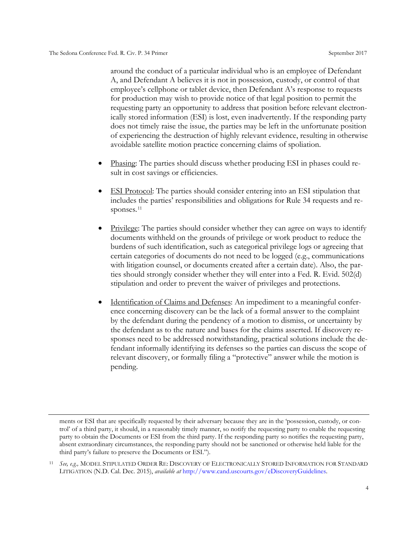around the conduct of a particular individual who is an employee of Defendant A, and Defendant A believes it is not in possession, custody, or control of that employee's cellphone or tablet device, then Defendant A's response to requests for production may wish to provide notice of that legal position to permit the requesting party an opportunity to address that position before relevant electronically stored information (ESI) is lost, even inadvertently. If the responding party does not timely raise the issue, the parties may be left in the unfortunate position of experiencing the destruction of highly relevant evidence, resulting in otherwise avoidable satellite motion practice concerning claims of spoliation.

- Phasing: The parties should discuss whether producing ESI in phases could result in cost savings or efficiencies.
- ESI Protocol: The parties should consider entering into an ESI stipulation that includes the parties' responsibilities and obligations for Rule 34 requests and re-sponses.<sup>[11](#page-9-0)</sup>
- Privilege: The parties should consider whether they can agree on ways to identify documents withheld on the grounds of privilege or work product to reduce the burdens of such identification, such as categorical privilege logs or agreeing that certain categories of documents do not need to be logged (e.g., communications with litigation counsel, or documents created after a certain date). Also, the parties should strongly consider whether they will enter into a Fed. R. Evid. 502(d) stipulation and order to prevent the waiver of privileges and protections.
- Identification of Claims and Defenses: An impediment to a meaningful conference concerning discovery can be the lack of a formal answer to the complaint by the defendant during the pendency of a motion to dismiss, or uncertainty by the defendant as to the nature and bases for the claims asserted. If discovery responses need to be addressed notwithstanding, practical solutions include the defendant informally identifying its defenses so the parties can discuss the scope of relevant discovery, or formally filing a "protective" answer while the motion is pending.

ments or ESI that are specifically requested by their adversary because they are in the 'possession, custody, or control' of a third party, it should, in a reasonably timely manner, so notify the requesting party to enable the requesting party to obtain the Documents or ESI from the third party. If the responding party so notifies the requesting party, absent extraordinary circumstances, the responding party should not be sanctioned or otherwise held liable for the third party's failure to preserve the Documents or ESI.").

<span id="page-9-0"></span><sup>11</sup> *See, e.g.,* MODEL STIPULATED ORDER RE: DISCOVERY OF ELECTRONICALLY STORED INFORMATION FOR STANDARD LITIGATION (N.D. Cal. Dec. 2015), *available at* [http://www.cand.uscourts.gov/eDiscoveryGuidelines.](http://www.cand.uscourts.gov/eDiscoveryGuidelines)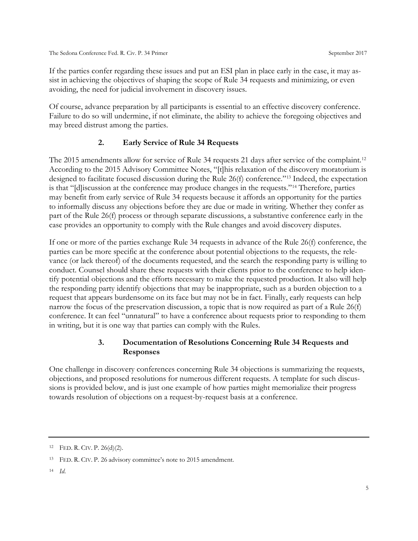If the parties confer regarding these issues and put an ESI plan in place early in the case, it may assist in achieving the objectives of shaping the scope of Rule 34 requests and minimizing, or even avoiding, the need for judicial involvement in discovery issues.

<span id="page-10-0"></span>Of course, advance preparation by all participants is essential to an effective discovery conference. Failure to do so will undermine, if not eliminate, the ability to achieve the foregoing objectives and may breed distrust among the parties.

#### **2. Early Service of Rule 34 Requests**

The 2015 amendments allow for service of Rule 34 requests 21 days after service of the complaint.<sup>[12](#page-10-2)</sup> According to the 2015 Advisory Committee Notes, "[t]his relaxation of the discovery moratorium is designed to facilitate focused discussion during the Rule 26(f) conference."[13](#page-10-3) Indeed, the expectation is that "[d]iscussion at the conference may produce changes in the requests."[14](#page-10-4) Therefore, parties may benefit from early service of Rule 34 requests because it affords an opportunity for the parties to informally discuss any objections before they are due or made in writing. Whether they confer as part of the Rule 26(f) process or through separate discussions, a substantive conference early in the case provides an opportunity to comply with the Rule changes and avoid discovery disputes.

If one or more of the parties exchange Rule 34 requests in advance of the Rule 26(f) conference, the parties can be more specific at the conference about potential objections to the requests, the relevance (or lack thereof) of the documents requested, and the search the responding party is willing to conduct. Counsel should share these requests with their clients prior to the conference to help identify potential objections and the efforts necessary to make the requested production. It also will help the responding party identify objections that may be inappropriate, such as a burden objection to a request that appears burdensome on its face but may not be in fact. Finally, early requests can help narrow the focus of the preservation discussion, a topic that is now required as part of a Rule 26(f) conference. It can feel "unnatural" to have a conference about requests prior to responding to them in writing, but it is one way that parties can comply with the Rules.

#### **3. Documentation of Resolutions Concerning Rule 34 Requests and Responses**

<span id="page-10-1"></span>One challenge in discovery conferences concerning Rule 34 objections is summarizing the requests, objections, and proposed resolutions for numerous different requests. A template for such discussions is provided below, and is just one example of how parties might memorialize their progress towards resolution of objections on a request-by-request basis at a conference.

<span id="page-10-4"></span><sup>14</sup> *Id*.

<span id="page-10-2"></span><sup>12</sup> FED. R. CIV. P. 26(d)(2).

<span id="page-10-3"></span><sup>13</sup> FED. R. CIV. P. 26 advisory committee's note to 2015 amendment.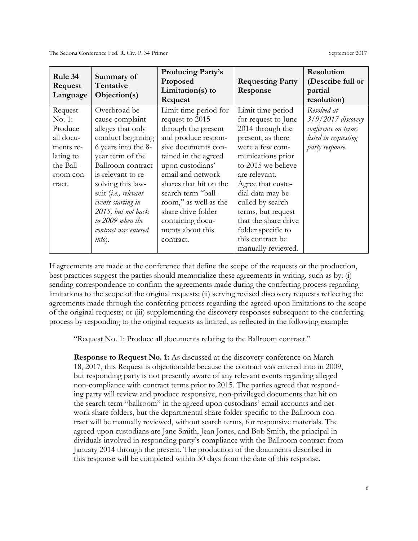| Rule 34<br>Request<br>Language | Summary of<br>Tentative<br>Objection(s) | <b>Producing Party's</b><br>Proposed<br>Limitation(s) to<br>Request | <b>Requesting Party</b><br>Response | Resolution<br>(Describe full or<br>partial<br>resolution) |
|--------------------------------|-----------------------------------------|---------------------------------------------------------------------|-------------------------------------|-----------------------------------------------------------|
| Request                        | Overbroad be-                           | Limit time period for                                               | Limit time period                   | Resolved at                                               |
| No. 1:                         | cause complaint                         | request to 2015                                                     | for request to June                 | $3/9/2017$ discovery                                      |
| Produce                        | alleges that only                       | through the present                                                 | 2014 through the                    | conference on terms                                       |
| all docu-                      | conduct beginning                       | and produce respon-                                                 | present, as there                   | listed in requesting                                      |
| ments re-                      | 6 years into the 8-                     | sive documents con-                                                 | were a few com-                     | party response.                                           |
| lating to                      | year term of the                        | tained in the agreed                                                | munications prior                   |                                                           |
| the Ball-                      | Ballroom contract                       | upon custodians'                                                    | to 2015 we believe                  |                                                           |
| room con-                      | is relevant to re-                      | email and network                                                   | are relevant.                       |                                                           |
| tract.                         | solving this law-                       | shares that hit on the                                              | Agree that custo-                   |                                                           |
|                                | suit (i.e., relevant                    | search term "ball-                                                  | dial data may be                    |                                                           |
|                                | events starting in                      | room," as well as the                                               | culled by search                    |                                                           |
|                                | 2015, but not back                      | share drive folder                                                  | terms, but request                  |                                                           |
|                                | to 2009 when the                        | containing docu-                                                    | that the share drive                |                                                           |
|                                | contract was entered                    | ments about this                                                    | folder specific to                  |                                                           |
|                                | into).                                  | contract.                                                           | this contract be                    |                                                           |
|                                |                                         |                                                                     | manually reviewed.                  |                                                           |

If agreements are made at the conference that define the scope of the requests or the production, best practices suggest the parties should memorialize these agreements in writing, such as by: (i) sending correspondence to confirm the agreements made during the conferring process regarding limitations to the scope of the original requests; (ii) serving revised discovery requests reflecting the agreements made through the conferring process regarding the agreed-upon limitations to the scope of the original requests; or (iii) supplementing the discovery responses subsequent to the conferring process by responding to the original requests as limited, as reflected in the following example:

"Request No. 1: Produce all documents relating to the Ballroom contract."

**Response to Request No. 1:** As discussed at the discovery conference on March 18, 2017, this Request is objectionable because the contract was entered into in 2009, but responding party is not presently aware of any relevant events regarding alleged non-compliance with contract terms prior to 2015. The parties agreed that responding party will review and produce responsive, non-privileged documents that hit on the search term "ballroom" in the agreed upon custodians' email accounts and network share folders, but the departmental share folder specific to the Ballroom contract will be manually reviewed, without search terms, for responsive materials. The agreed-upon custodians are Jane Smith, Jean Jones, and Bob Smith, the principal individuals involved in responding party's compliance with the Ballroom contract from January 2014 through the present. The production of the documents described in this response will be completed within 30 days from the date of this response.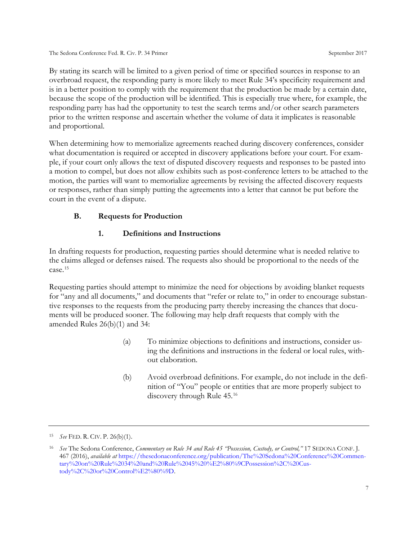By stating its search will be limited to a given period of time or specified sources in response to an overbroad request, the responding party is more likely to meet Rule 34's specificity requirement and is in a better position to comply with the requirement that the production be made by a certain date, because the scope of the production will be identified. This is especially true where, for example, the responding party has had the opportunity to test the search terms and/or other search parameters prior to the written response and ascertain whether the volume of data it implicates is reasonable and proportional.

When determining how to memorialize agreements reached during discovery conferences, consider what documentation is required or accepted in discovery applications before your court. For example, if your court only allows the text of disputed discovery requests and responses to be pasted into a motion to compel, but does not allow exhibits such as post-conference letters to be attached to the motion, the parties will want to memorialize agreements by revising the affected discovery requests or responses, rather than simply putting the agreements into a letter that cannot be put before the court in the event of a dispute.

#### <span id="page-12-0"></span>**B. Requests for Production**

#### **1. Definitions and Instructions**

<span id="page-12-1"></span>In drafting requests for production, requesting parties should determine what is needed relative to the claims alleged or defenses raised. The requests also should be proportional to the needs of the case.[15](#page-12-2)

Requesting parties should attempt to minimize the need for objections by avoiding blanket requests for "any and all documents," and documents that "refer or relate to," in order to encourage substantive responses to the requests from the producing party thereby increasing the chances that documents will be produced sooner. The following may help draft requests that comply with the amended Rules 26(b)(1) and 34:

- (a) To minimize objections to definitions and instructions, consider using the definitions and instructions in the federal or local rules, without elaboration.
- (b) Avoid overbroad definitions. For example, do not include in the definition of "You" people or entities that are more properly subject to discovery through Rule 45.[16](#page-12-3)

<span id="page-12-2"></span><sup>15</sup> *See* FED. R. CIV. P. 26(b)(1).

<span id="page-12-3"></span><sup>16</sup> *See* The Sedona Conference, *Commentary on Rule 34 and Rule 45 "Possession, Custody, or Control,"* 17 SEDONA CONF. J. 467 (2016), *available at* [https://thesedonaconference.org/publication/The%20Sedona%20Conference%20Commen](https://thesedonaconference.org/publication/The%20Sedona%20Conference%20Commentary%20on%20Rule%2034%20and%20Rule%2045%20%E2%80%9CPossession%2C%20Custody%2C%20or%20Control%E2%80%9D)[tary%20on%20Rule%2034%20and%20Rule%2045%20%E2%80%9CPossession%2C%20Cus](https://thesedonaconference.org/publication/The%20Sedona%20Conference%20Commentary%20on%20Rule%2034%20and%20Rule%2045%20%E2%80%9CPossession%2C%20Custody%2C%20or%20Control%E2%80%9D)[tody%2C%20or%20Control%E2%80%9D.](https://thesedonaconference.org/publication/The%20Sedona%20Conference%20Commentary%20on%20Rule%2034%20and%20Rule%2045%20%E2%80%9CPossession%2C%20Custody%2C%20or%20Control%E2%80%9D)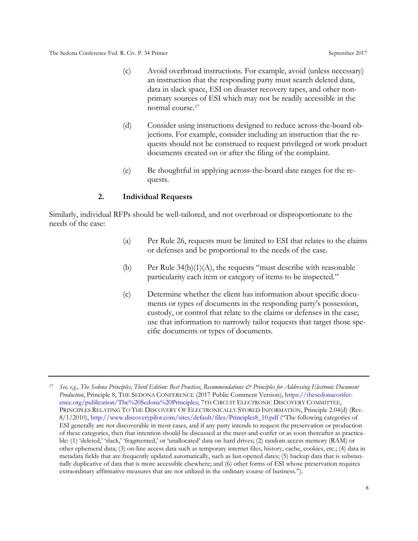- (c) Avoid overbroad instructions. For example, avoid (unless necessary) an instruction that the responding party must search deleted data, data in slack space, ESI on disaster recovery tapes, and other nonprimary sources of ESI which may not be readily accessible in the normal course.[17](#page-13-1)
- (d) Consider using instructions designed to reduce across-the-board objections. For example, consider including an instruction that the requests should not be construed to request privileged or work product documents created on or after the filing of the complaint.
- (e) Be thoughtful in applying across-the-board date ranges for the requests.

#### **2. Individual Requests**

<span id="page-13-0"></span>Similarly, individual RFPs should be well-tailored, and not overbroad or disproportionate to the needs of the case:

- (a) Per Rule 26, requests must be limited to ESI that relates to the claims or defenses and be proportional to the needs of the case.
- (b) Per Rule  $34(b)(1)(A)$ , the requests "must describe with reasonable particularity each item or category of items to be inspected."
- (c) Determine whether the client has information about specific documents or types of documents in the responding party's possession, custody, or control that relate to the claims or defenses in the case; use that information to narrowly tailor requests that target those specific documents or types of documents.

<span id="page-13-1"></span><sup>17</sup> *See, e.g.*, *The Sedona Principles, Third Edition: Best Practices, Recommendations & Principles for Addressing Electronic Document Production*, Principle 8, THE SEDONA CONFERENCE (2017 Public Comment Version), [https://thesedonaconfer](https://thesedonaconference.org/publication/The%20Sedona%20Principles)[ence.org/publication/The%20Sedona%20Principles;](https://thesedonaconference.org/publication/The%20Sedona%20Principles) 7TH CIRCUIT ELECTRONIC DISCOVERY COMMITTEE, PRINCIPLES RELATING TO THE DISCOVERY OF ELECTRONICALLY STORED INFORMATION, Principle 2.04(d) (Rev. 8/1/2010)[, http://www.discoverypilot.com/sites/default/files/Principles8\\_10.pdf](http://www.discoverypilot.com/sites/default/files/Principles8_10.pdf) ("The following categories of ESI generally are not discoverable in most cases, and if any party intends to request the preservation or production of these categories, then that intention should be discussed at the meet-and-confer or as soon thereafter as practicable: (1) 'deleted,' 'slack,' 'fragmented,' or 'unallocated' data on hard drives; (2) random access memory (RAM) or other ephemeral data; (3) on-line access data such as temporary internet files, history, cache, cookies, etc.; (4) data in metadata fields that are frequently updated automatically, such as last-opened dates; (5) backup data that is substantially duplicative of data that is more accessible elsewhere; and (6) other forms of ESI whose preservation requires extraordinary affirmative measures that are not utilized in the ordinary course of business.").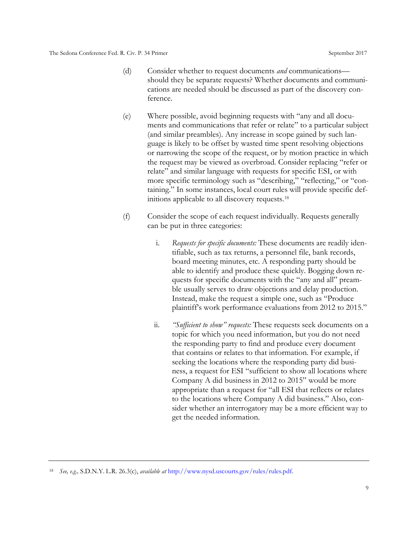- (d) Consider whether to request documents *and* communications should they be separate requests? Whether documents and communications are needed should be discussed as part of the discovery conference.
- (e) Where possible, avoid beginning requests with "any and all documents and communications that refer or relate" to a particular subject (and similar preambles). Any increase in scope gained by such language is likely to be offset by wasted time spent resolving objections or narrowing the scope of the request, or by motion practice in which the request may be viewed as overbroad. Consider replacing "refer or relate" and similar language with requests for specific ESI, or with more specific terminology such as "describing," "reflecting," or "containing." In some instances, local court rules will provide specific definitions applicable to all discovery requests.[18](#page-14-0)
- (f) Consider the scope of each request individually. Requests generally can be put in three categories:
	- i. *Requests for specific documents:* These documents are readily identifiable, such as tax returns, a personnel file, bank records, board meeting minutes, etc. A responding party should be able to identify and produce these quickly. Bogging down requests for specific documents with the "any and all" preamble usually serves to draw objections and delay production. Instead, make the request a simple one, such as "Produce plaintiff's work performance evaluations from 2012 to 2015."
	- ii. *"Sufficient to show" requests:* These requests seek documents on a topic for which you need information, but you do not need the responding party to find and produce every document that contains or relates to that information. For example, if seeking the locations where the responding party did business, a request for ESI "sufficient to show all locations where Company A did business in 2012 to 2015" would be more appropriate than a request for "all ESI that reflects or relates to the locations where Company A did business." Also, consider whether an interrogatory may be a more efficient way to get the needed information.

<span id="page-14-0"></span><sup>18</sup> *See, e.g.,* S.D.N.Y. L.R. 26.3(c), *available at* [http://www.nysd.uscourts.gov/rules/rules.pdf.](http://www.nysd.uscourts.gov/rules/rules.pdf)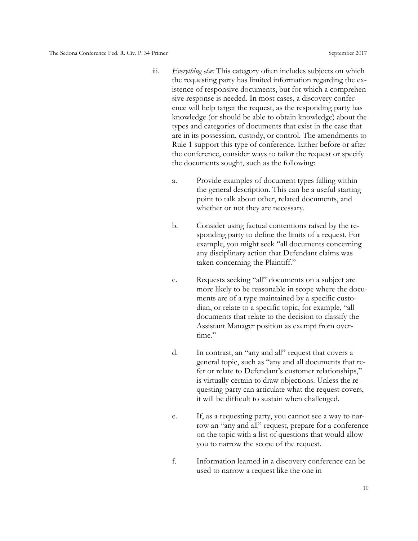- iii. *Everything else:* This category often includes subjects on which the requesting party has limited information regarding the existence of responsive documents, but for which a comprehensive response is needed. In most cases, a discovery conference will help target the request, as the responding party has knowledge (or should be able to obtain knowledge) about the types and categories of documents that exist in the case that are in its possession, custody, or control. The amendments to Rule 1 support this type of conference. Either before or after the conference, consider ways to tailor the request or specify the documents sought, such as the following:
	- a. Provide examples of document types falling within the general description. This can be a useful starting point to talk about other, related documents, and whether or not they are necessary.
	- b. Consider using factual contentions raised by the responding party to define the limits of a request. For example, you might seek "all documents concerning any disciplinary action that Defendant claims was taken concerning the Plaintiff."
	- c. Requests seeking "all" documents on a subject are more likely to be reasonable in scope where the documents are of a type maintained by a specific custodian, or relate to a specific topic, for example, "all documents that relate to the decision to classify the Assistant Manager position as exempt from overtime."
	- d. In contrast, an "any and all" request that covers a general topic, such as "any and all documents that refer or relate to Defendant's customer relationships," is virtually certain to draw objections. Unless the requesting party can articulate what the request covers, it will be difficult to sustain when challenged.
	- e. If, as a requesting party, you cannot see a way to narrow an "any and all" request, prepare for a conference on the topic with a list of questions that would allow you to narrow the scope of the request.
	- f. Information learned in a discovery conference can be used to narrow a request like the one in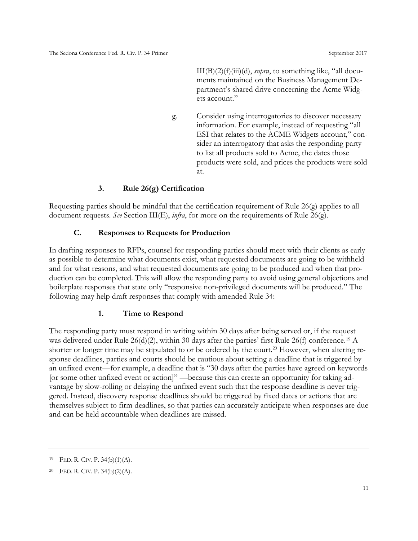$III(B)(2)(f)(iii)(d)$ , *supra*, to something like, "all documents maintained on the Business Management Department's shared drive concerning the Acme Widgets account."

g. Consider using interrogatories to discover necessary information. For example, instead of requesting "all ESI that relates to the ACME Widgets account," consider an interrogatory that asks the responding party to list all products sold to Acme, the dates those products were sold, and prices the products were sold at.

#### **3. Rule 26(g) Certification**

<span id="page-16-1"></span><span id="page-16-0"></span>Requesting parties should be mindful that the certification requirement of Rule 26(g) applies to all document requests. *See* Section III(E), *infra*, for more on the requirements of Rule 26(g).

#### **C. Responses to Requests for Production**

In drafting responses to RFPs, counsel for responding parties should meet with their clients as early as possible to determine what documents exist, what requested documents are going to be withheld and for what reasons, and what requested documents are going to be produced and when that production can be completed. This will allow the responding party to avoid using general objections and boilerplate responses that state only "responsive non-privileged documents will be produced." The following may help draft responses that comply with amended Rule 34:

#### **1. Time to Respond**

<span id="page-16-2"></span>The responding party must respond in writing within 30 days after being served or, if the request was delivered under Rule  $26(d)(2)$ , within 30 days after the parties' first Rule  $26(f)$  conference.<sup>[19](#page-16-3)</sup> A shorter or longer time may be stipulated to or be ordered by the court.<sup>20</sup> However, when altering response deadlines, parties and courts should be cautious about setting a deadline that is triggered by an unfixed event—for example, a deadline that is "30 days after the parties have agreed on keywords [or some other unfixed event or action]" —because this can create an opportunity for taking advantage by slow-rolling or delaying the unfixed event such that the response deadline is never triggered. Instead, discovery response deadlines should be triggered by fixed dates or actions that are themselves subject to firm deadlines, so that parties can accurately anticipate when responses are due and can be held accountable when deadlines are missed.

<span id="page-16-3"></span><sup>&</sup>lt;sup>19</sup> FED. R. CIV. P.  $34(b)(1)(A)$ .

<span id="page-16-4"></span><sup>&</sup>lt;sup>20</sup> FED. R. CIV. P.  $34(b)(2)(A)$ .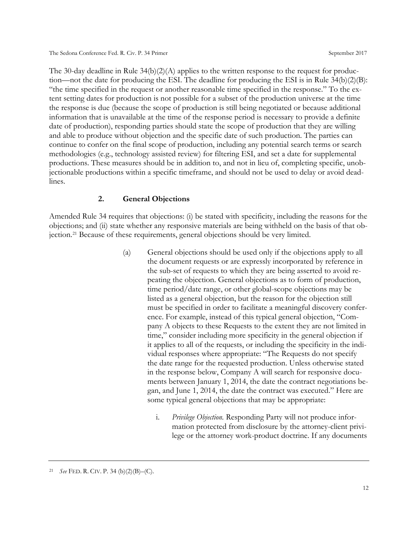The 30-day deadline in Rule  $34(b)(2)(A)$  applies to the written response to the request for production—not the date for producing the ESI. The deadline for producing the ESI is in Rule  $34(b)(2)(B)$ : "the time specified in the request or another reasonable time specified in the response." To the extent setting dates for production is not possible for a subset of the production universe at the time the response is due (because the scope of production is still being negotiated or because additional information that is unavailable at the time of the response period is necessary to provide a definite date of production), responding parties should state the scope of production that they are willing and able to produce without objection and the specific date of such production. The parties can continue to confer on the final scope of production, including any potential search terms or search methodologies (e.g., technology assisted review) for filtering ESI, and set a date for supplemental productions. These measures should be in addition to, and not in lieu of, completing specific, unobjectionable productions within a specific timeframe, and should not be used to delay or avoid deadlines.

#### **2. General Objections**

<span id="page-17-0"></span>Amended Rule 34 requires that objections: (i) be stated with specificity, including the reasons for the objections; and (ii) state whether any responsive materials are being withheld on the basis of that objection.[21](#page-17-1) Because of these requirements, general objections should be very limited.

- (a) General objections should be used only if the objections apply to all the document requests or are expressly incorporated by reference in the sub-set of requests to which they are being asserted to avoid repeating the objection. General objections as to form of production, time period/date range, or other global-scope objections may be listed as a general objection, but the reason for the objection still must be specified in order to facilitate a meaningful discovery conference. For example, instead of this typical general objection, "Company A objects to these Requests to the extent they are not limited in time," consider including more specificity in the general objection if it applies to all of the requests, or including the specificity in the individual responses where appropriate: "The Requests do not specify the date range for the requested production. Unless otherwise stated in the response below, Company A will search for responsive documents between January 1, 2014, the date the contract negotiations began, and June 1, 2014, the date the contract was executed." Here are some typical general objections that may be appropriate:
	- i. *Privilege Objection.* Responding Party will not produce information protected from disclosure by the attorney-client privilege or the attorney work-product doctrine. If any documents

<span id="page-17-1"></span><sup>21</sup> *See* FED. R. CIV. P. 34 (b)(2)(B)–(C).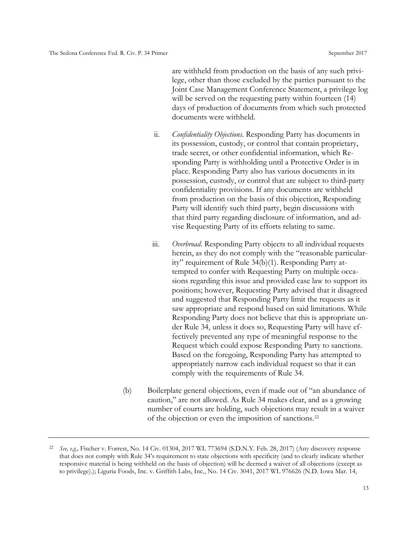are withheld from production on the basis of any such privilege, other than those excluded by the parties pursuant to the Joint Case Management Conference Statement, a privilege log will be served on the requesting party within fourteen  $(14)$ days of production of documents from which such protected documents were withheld.

- ii. *Confidentiality Objections.* Responding Party has documents in its possession, custody, or control that contain proprietary, trade secret, or other confidential information, which Responding Party is withholding until a Protective Order is in place. Responding Party also has various documents in its possession, custody, or control that are subject to third-party confidentiality provisions. If any documents are withheld from production on the basis of this objection, Responding Party will identify such third party, begin discussions with that third party regarding disclosure of information, and advise Requesting Party of its efforts relating to same.
- iii. *Overbroad*. Responding Party objects to all individual requests herein, as they do not comply with the "reasonable particularity" requirement of Rule 34(b)(1). Responding Party attempted to confer with Requesting Party on multiple occasions regarding this issue and provided case law to support its positions; however, Requesting Party advised that it disagreed and suggested that Responding Party limit the requests as it saw appropriate and respond based on said limitations. While Responding Party does not believe that this is appropriate under Rule 34, unless it does so, Requesting Party will have effectively prevented any type of meaningful response to the Request which could expose Responding Party to sanctions. Based on the foregoing, Responding Party has attempted to appropriately narrow each individual request so that it can comply with the requirements of Rule 34.
- (b) Boilerplate general objections, even if made out of "an abundance of caution," are not allowed. As Rule 34 makes clear, and as a growing number of courts are holding, such objections may result in a waiver of the objection or even the imposition of sanctions.[22](#page-18-0)

<span id="page-18-0"></span><sup>22</sup> *See, e.g.,* Fischer v. Forrest, No. 14 Civ. 01304, 2017 WL 773694 (S.D.N.Y. Feb. 28, 2017) (Any discovery response that does not comply with Rule 34's requirement to state objections with specificity (and to clearly indicate whether responsive material is being withheld on the basis of objection) will be deemed a waiver of all objections (except as to privilege).); Liguria Foods, Inc. v. Griffith Labs, Inc., No. 14 Civ. 3041, 2017 WL 976626 (N.D. Iowa Mar. 14,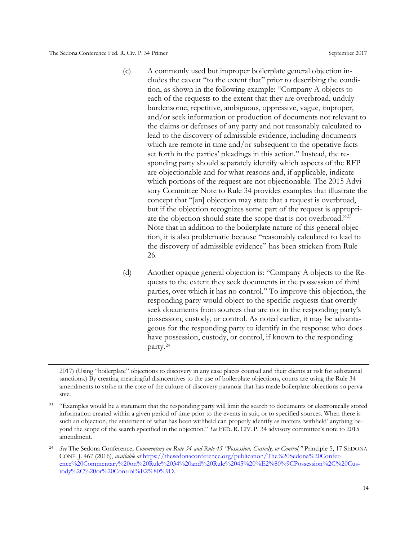- (c) A commonly used but improper boilerplate general objection includes the caveat "to the extent that" prior to describing the condition, as shown in the following example: "Company A objects to each of the requests to the extent that they are overbroad, unduly burdensome, repetitive, ambiguous, oppressive, vague, improper, and/or seek information or production of documents not relevant to the claims or defenses of any party and not reasonably calculated to lead to the discovery of admissible evidence, including documents which are remote in time and/or subsequent to the operative facts set forth in the parties' pleadings in this action." Instead, the responding party should separately identify which aspects of the RFP are objectionable and for what reasons and, if applicable, indicate which portions of the request are not objectionable. The 2015 Advisory Committee Note to Rule 34 provides examples that illustrate the concept that "[an] objection may state that a request is overbroad, but if the objection recognizes some part of the request is appropriate the objection should state the scope that is not overbroad."[23](#page-19-0) Note that in addition to the boilerplate nature of this general objection, it is also problematic because "reasonably calculated to lead to the discovery of admissible evidence" has been stricken from Rule 26.
- (d) Another opaque general objection is: "Company A objects to the Requests to the extent they seek documents in the possession of third parties, over which it has no control." To improve this objection, the responding party would object to the specific requests that overtly seek documents from sources that are not in the responding party's possession, custody, or control. As noted earlier, it may be advantageous for the responding party to identify in the response who does have possession, custody, or control, if known to the responding party.[24](#page-19-1)

<sup>2017) (</sup>Using "boilerplate" objections to discovery in any case places counsel and their clients at risk for substantial sanctions.) By creating meaningful disincentives to the use of boilerplate objections, courts are using the Rule 34 amendments to strike at the core of the culture of discovery paranoia that has made boilerplate objections so pervasive.

<span id="page-19-0"></span><sup>&</sup>lt;sup>23</sup> "Examples would be a statement that the responding party will limit the search to documents or electronically stored information created within a given period of time prior to the events in suit, or to specified sources. When there is such an objection, the statement of what has been withheld can properly identify as matters 'withheld' anything beyond the scope of the search specified in the objection." *See* FED. R. CIV. P. 34 advisory committee's note to 2015 amendment.

<span id="page-19-1"></span><sup>24</sup> *See* The Sedona Conference, *Commentary on Rule 34 and Rule 45 "Possession, Custody, or Control,"* Principle 5, 17 SEDONA CONF. J. 467 (2016), *available at* [https://thesedonaconference.org/publication/The%20Sedona%20Confer](https://thesedonaconference.org/publication/The%20Sedona%20Conference%20Commentary%20on%20Rule%2034%20and%20Rule%2045%20%E2%80%9CPossession%2C%20Custody%2C%20or%20Control%E2%80%9D)[ence%20Commentary%20on%20Rule%2034%20and%20Rule%2045%20%E2%80%9CPossession%2C%20Cus](https://thesedonaconference.org/publication/The%20Sedona%20Conference%20Commentary%20on%20Rule%2034%20and%20Rule%2045%20%E2%80%9CPossession%2C%20Custody%2C%20or%20Control%E2%80%9D)[tody%2C%20or%20Control%E2%80%9D.](https://thesedonaconference.org/publication/The%20Sedona%20Conference%20Commentary%20on%20Rule%2034%20and%20Rule%2045%20%E2%80%9CPossession%2C%20Custody%2C%20or%20Control%E2%80%9D)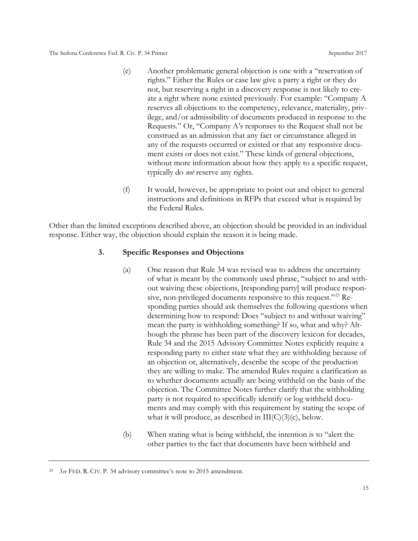- (e) Another problematic general objection is one with a "reservation of rights." Either the Rules or case law give a party a right or they do not, but reserving a right in a discovery response is not likely to create a right where none existed previously. For example: "Company A reserves all objections to the competency, relevance, materiality, privilege, and/or admissibility of documents produced in response to the Requests." Or, "Company A's responses to the Request shall not be construed as an admission that any fact or circumstance alleged in any of the requests occurred or existed or that any responsive document exists or does not exist." These kinds of general objections, without more information about how they apply to a specific request, typically do *not* reserve any rights.
- (f) It would, however, be appropriate to point out and object to general instructions and definitions in RFPs that exceed what is required by the Federal Rules.

<span id="page-20-0"></span>Other than the limited exceptions described above, an objection should be provided in an individual response. Either way, the objection should explain the reason it is being made.

#### **3. Specific Responses and Objections**

- (a) One reason that Rule 34 was revised was to address the uncertainty of what is meant by the commonly used phrase, "subject to and without waiving these objections, [responding party] will produce responsive, non-privileged documents responsive to this request."[25](#page-20-1) Responding parties should ask themselves the following questions when determining how to respond: Does "subject to and without waiving" mean the party is withholding something? If so, what and why? Although the phrase has been part of the discovery lexicon for decades, Rule 34 and the 2015 Advisory Committee Notes explicitly require a responding party to either state what they are withholding because of an objection or, alternatively, describe the scope of the production they are willing to make. The amended Rules require a clarification as to whether documents actually are being withheld on the basis of the objection. The Committee Notes further clarify that the withholding party is not required to specifically identify or log withheld documents and may comply with this requirement by stating the scope of what it will produce, as described in  $III(C)(3)(c)$ , below.
- (b) When stating what is being withheld, the intention is to "alert the other parties to the fact that documents have been withheld and

<span id="page-20-1"></span><sup>25</sup> *See* FED. R. CIV. P. 34 advisory committee's note to 2015 amendment.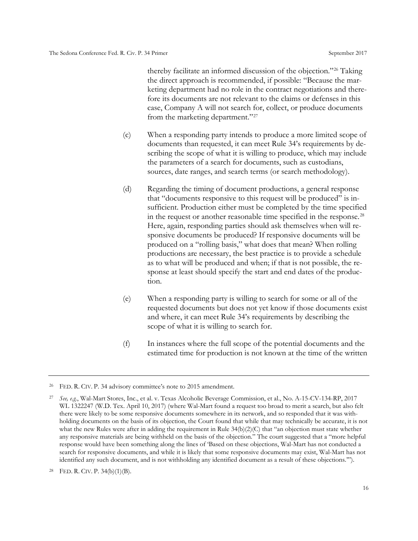thereby facilitate an informed discussion of the objection."[26](#page-21-0) Taking the direct approach is recommended, if possible: "Because the marketing department had no role in the contract negotiations and therefore its documents are not relevant to the claims or defenses in this case, Company A will not search for, collect, or produce documents from the marketing department."[27](#page-21-1)

- (c) When a responding party intends to produce a more limited scope of documents than requested, it can meet Rule 34's requirements by describing the scope of what it is willing to produce, which may include the parameters of a search for documents, such as custodians, sources, date ranges, and search terms (or search methodology).
- (d) Regarding the timing of document productions, a general response that "documents responsive to this request will be produced" is insufficient. Production either must be completed by the time specified in the request or another reasonable time specified in the response.[28](#page-21-2) Here, again, responding parties should ask themselves when will responsive documents be produced? If responsive documents will be produced on a "rolling basis," what does that mean? When rolling productions are necessary, the best practice is to provide a schedule as to what will be produced and when; if that is not possible, the response at least should specify the start and end dates of the production.
- (e) When a responding party is willing to search for some or all of the requested documents but does not yet know if those documents exist and where, it can meet Rule 34's requirements by describing the scope of what it is willing to search for.
- (f) In instances where the full scope of the potential documents and the estimated time for production is not known at the time of the written

<span id="page-21-0"></span><sup>26</sup> FED. R. CIV. P. 34 advisory committee's note to 2015 amendment.

<span id="page-21-1"></span><sup>27</sup> *See, e.g.*, Wal-Mart Stores, Inc., et al. v. Texas Alcoholic Beverage Commission, et al., No. A-15-CV-134-RP, 2017 WL 1322247 (W.D. Tex. April 10, 2017) (where Wal-Mart found a request too broad to merit a search, but also felt there were likely to be some responsive documents somewhere in its network, and so responded that it was withholding documents on the basis of its objection, the Court found that while that may technically be accurate, it is not what the new Rules were after in adding the requirement in Rule 34(b)(2)(C) that "an objection must state whether any responsive materials are being withheld on the basis of the objection." The court suggested that a "more helpful response would have been something along the lines of 'Based on these objections, Wal-Mart has not conducted a search for responsive documents, and while it is likely that some responsive documents may exist, Wal-Mart has not identified any such document, and is not withholding any identified document as a result of these objections.'").

<span id="page-21-2"></span><sup>&</sup>lt;sup>28</sup> FED. R. CIV. P.  $34(b)(1)(B)$ .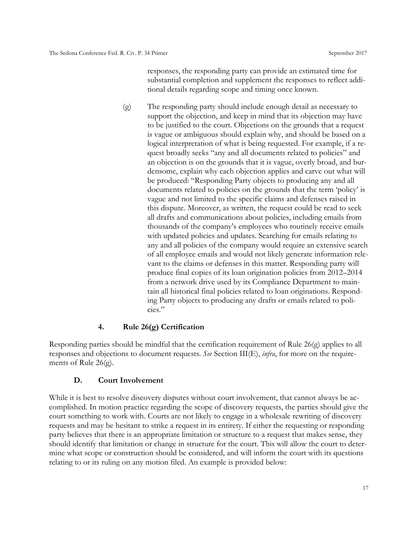responses, the responding party can provide an estimated time for substantial completion and supplement the responses to reflect additional details regarding scope and timing once known.

(g) The responding party should include enough detail as necessary to support the objection, and keep in mind that its objection may have to be justified to the court. Objections on the grounds that a request is vague or ambiguous should explain why, and should be based on a logical interpretation of what is being requested. For example, if a request broadly seeks "any and all documents related to policies" and an objection is on the grounds that it is vague, overly broad, and burdensome, explain why each objection applies and carve out what will be produced: "Responding Party objects to producing any and all documents related to policies on the grounds that the term 'policy' is vague and not limited to the specific claims and defenses raised in this dispute. Moreover, as written, the request could be read to seek all drafts and communications about policies, including emails from thousands of the company's employees who routinely receive emails with updated policies and updates. Searching for emails relating to any and all policies of the company would require an extensive search of all employee emails and would not likely generate information relevant to the claims or defenses in this matter. Responding party will produce final copies of its loan origination policies from 2012–2014 from a network drive used by its Compliance Department to maintain all historical final policies related to loan originations. Responding Party objects to producing any drafts or emails related to policies."

#### **4. Rule 26(g) Certification**

<span id="page-22-0"></span>Responding parties should be mindful that the certification requirement of Rule 26(g) applies to all responses and objections to document requests. *See* Section III(E), *infra*, for more on the requirements of Rule 26(g).

#### <span id="page-22-1"></span>**D. Court Involvement**

While it is best to resolve discovery disputes without court involvement, that cannot always be accomplished. In motion practice regarding the scope of discovery requests, the parties should give the court something to work with. Courts are not likely to engage in a wholesale rewriting of discovery requests and may be hesitant to strike a request in its entirety. If either the requesting or responding party believes that there is an appropriate limitation or structure to a request that makes sense, they should identify that limitation or change in structure for the court. This will allow the court to determine what scope or construction should be considered, and will inform the court with its questions relating to or its ruling on any motion filed. An example is provided below: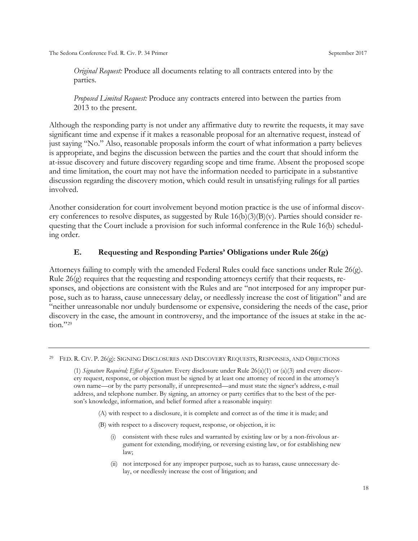*Original Request:* Produce all documents relating to all contracts entered into by the parties.

*Proposed Limited Request:* Produce any contracts entered into between the parties from 2013 to the present.

Although the responding party is not under any affirmative duty to rewrite the requests, it may save significant time and expense if it makes a reasonable proposal for an alternative request, instead of just saying "No." Also, reasonable proposals inform the court of what information a party believes is appropriate, and begins the discussion between the parties and the court that should inform the at-issue discovery and future discovery regarding scope and time frame. Absent the proposed scope and time limitation, the court may not have the information needed to participate in a substantive discussion regarding the discovery motion, which could result in unsatisfying rulings for all parties involved.

Another consideration for court involvement beyond motion practice is the use of informal discovery conferences to resolve disputes, as suggested by Rule  $16(b)(3)(B)(v)$ . Parties should consider requesting that the Court include a provision for such informal conference in the Rule 16(b) scheduling order.

#### **E. Requesting and Responding Parties' Obligations under Rule 26(g)**

<span id="page-23-0"></span>Attorneys failing to comply with the amended Federal Rules could face sanctions under Rule 26(g). Rule 26(g) requires that the requesting and responding attorneys certify that their requests, responses, and objections are consistent with the Rules and are "not interposed for any improper purpose, such as to harass, cause unnecessary delay, or needlessly increase the cost of litigation" and are "neither unreasonable nor unduly burdensome or expensive, considering the needs of the case, prior discovery in the case, the amount in controversy, and the importance of the issues at stake in the ac-tion."<sup>[29](#page-23-1)</sup>

- (A) with respect to a disclosure, it is complete and correct as of the time it is made; and
- (B) with respect to a discovery request, response, or objection, it is:
	- (i) consistent with these rules and warranted by existing law or by a non-frivolous argument for extending, modifying, or reversing existing law, or for establishing new law;
	- (ii) not interposed for any improper purpose, such as to harass, cause unnecessary delay, or needlessly increase the cost of litigation; and

<span id="page-23-1"></span><sup>29</sup> FED. R. CIV. P. 26(g): SIGNING DISCLOSURES AND DISCOVERY REQUESTS, RESPONSES, AND OBJECTIONS

<sup>(1)</sup> *Signature Required; Effect of Signature.* Every disclosure under Rule 26(a)(1) or (a)(3) and every discovery request, response, or objection must be signed by at least one attorney of record in the attorney's own name—or by the party personally, if unrepresented—and must state the signer's address, e-mail address, and telephone number. By signing, an attorney or party certifies that to the best of the person's knowledge, information, and belief formed after a reasonable inquiry: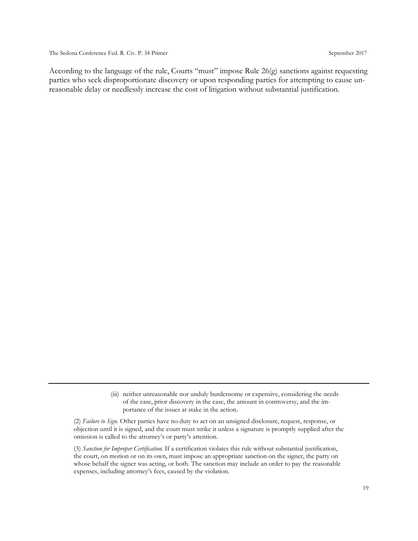According to the language of the rule, Courts "must" impose Rule 26(g) sanctions against requesting parties who seek disproportionate discovery or upon responding parties for attempting to cause unreasonable delay or needlessly increase the cost of litigation without substantial justification.

(2) *Failure to Sign.* Other parties have no duty to act on an unsigned disclosure, request, response, or objection until it is signed, and the court must strike it unless a signature is promptly supplied after the omission is called to the attorney's or party's attention.

(3) *Sanction for Improper Certification.* If a certification violates this rule without substantial justification, the court, on motion or on its own, must impose an appropriate sanction on the signer, the party on whose behalf the signer was acting, or both. The sanction may include an order to pay the reasonable expenses, including attorney's fees, caused by the violation.

<sup>(</sup>iii) neither unreasonable nor unduly burdensome or expensive, considering the needs of the case, prior discovery in the case, the amount in controversy, and the importance of the issues at stake in the action.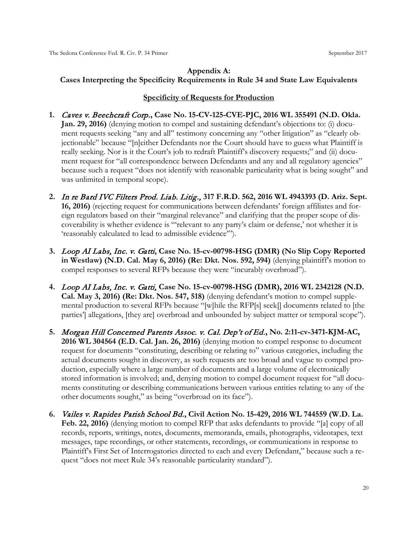#### <span id="page-25-0"></span>**Appendix A: Cases Interpreting the Specificity Requirements in Rule 34 and State Law Equivalents**

#### **Specificity of Requests for Production**

- **1.** Caves v. Beechcraft Corp.**, Case No. 15-CV-125-CVE-PJC, 2016 WL 355491 (N.D. Okla. Jan. 29, 2016)** (denying motion to compel and sustaining defendant's objections to: (i) document requests seeking "any and all" testimony concerning any "other litigation" as "clearly objectionable" because "[n]either Defendants nor the Court should have to guess what Plaintiff is really seeking. Nor is it the Court's job to redraft Plaintiff's discovery requests;" and (ii) document request for "all correspondence between Defendants and any and all regulatory agencies" because such a request "does not identify with reasonable particularity what is being sought" and was unlimited in temporal scope).
- **2.** In re Bard IVC Filters Prod. Liab. Litig., **317 F.R.D. 562, 2016 WL 4943393 (D. Ariz. Sept. 16, 2016)** (rejecting request for communications between defendants' foreign affiliates and foreign regulators based on their "marginal relevance" and clarifying that the proper scope of discoverability is whether evidence is "'relevant to any party's claim or defense,' not whether it is 'reasonably calculated to lead to admissible evidence'").
- **3.** Loop AI Labs, Inc. v. Gatti**, Case No. 15-cv-00798-HSG (DMR) (No Slip Copy Reported in Westlaw) (N.D. Cal. May 6, 2016) (Re: Dkt. Nos. 592, 594)** (denying plaintiff's motion to compel responses to several RFPs because they were "incurably overbroad").
- **4.** Loop AI Labs, Inc. v. Gatti, **Case No. 15-cv-00798-HSG (DMR), 2016 WL 2342128 (N.D. Cal. May 3, 2016) (Re: Dkt. Nos. 547, 518)** (denying defendant's motion to compel supplemental production to several RFPs because "[w]hile the RFP[s] seek[] documents related to [the parties'] allegations, [they are] overbroad and unbounded by subject matter or temporal scope").
- **5.** Morgan Hill Concerned Parents Assoc. v. Cal. Dep't of Ed.**, No. 2:11-cv-3471-KJM-AC, 2016 WL 304564 (E.D. Cal. Jan. 26, 2016)** (denying motion to compel response to document request for documents "constituting, describing or relating to" various categories, including the actual documents sought in discovery, as such requests are too broad and vague to compel production, especially where a large number of documents and a large volume of electronically stored information is involved; and, denying motion to compel document request for "all documents constituting or describing communications between various entities relating to any of the other documents sought," as being "overbroad on its face").
- **6.** Vailes v. Rapides Parish School Bd.**, Civil Action No. 15-429, 2016 WL 744559 (W.D. La. Feb. 22, 2016)** (denying motion to compel RFP that asks defendants to provide "[a] copy of all records, reports, writings, notes, documents, memoranda, emails, photographs, videotapes, text messages, tape recordings, or other statements, recordings, or communications in response to Plaintiff's First Set of Interrogatories directed to each and every Defendant," because such a request "does not meet Rule 34's reasonable particularity standard").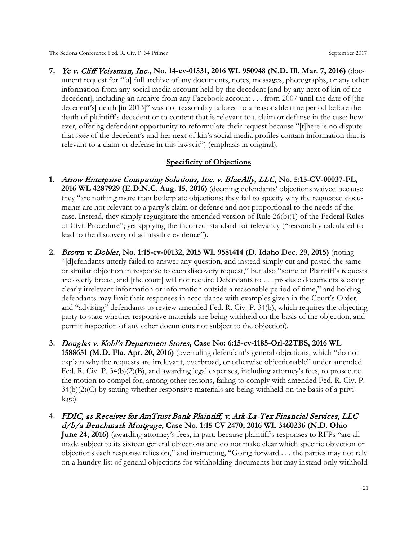**7.** Ye v. Cliff Veissman, Inc.**, No. 14-cv-01531, 2016 WL 950948 (N.D. Ill. Mar. 7, 2016)** (document request for "[a] full archive of any documents, notes, messages, photographs, or any other information from any social media account held by the decedent [and by any next of kin of the decedent], including an archive from any Facebook account . . . from 2007 until the date of [the decedent's] death [in 2013]" was not reasonably tailored to a reasonable time period before the death of plaintiff's decedent or to content that is relevant to a claim or defense in the case; however, offering defendant opportunity to reformulate their request because "[t]here is no dispute that *some* of the decedent's and her next of kin's social media profiles contain information that is relevant to a claim or defense in this lawsuit") (emphasis in original).

#### **Specificity of Objections**

- **1.** Arrow Enterprise Computing Solutions, Inc. v. BlueAlly, LLC**, No. 5:15-CV-00037-FL, 2016 WL 4287929 (E.D.N.C. Aug. 15, 2016)** (deeming defendants' objections waived because they "are nothing more than boilerplate objections: they fail to specify why the requested documents are not relevant to a party's claim or defense and not proportional to the needs of the case. Instead, they simply regurgitate the amended version of Rule 26(b)(1) of the Federal Rules of Civil Procedure"; yet applying the incorrect standard for relevancy ("reasonably calculated to lead to the discovery of admissible evidence").
- **2.** Brown v. Dobler**, No. 1:15-cv-00132, 2015 WL 9581414 (D. Idaho Dec. 29, 2015)** (noting "[d]efendants utterly failed to answer any question, and instead simply cut and pasted the same or similar objection in response to each discovery request," but also "some of Plaintiff's requests are overly broad, and [the court] will not require Defendants to . . . produce documents seeking clearly irrelevant information or information outside a reasonable period of time," and holding defendants may limit their responses in accordance with examples given in the Court's Order, and "advising" defendants to review amended Fed. R. Civ. P. 34(b), which requires the objecting party to state whether responsive materials are being withheld on the basis of the objection, and permit inspection of any other documents not subject to the objection).
- **3.** Douglas v. Kohl's Department Stores**, Case No: 6:15-cv-1185-Orl-22TBS, 2016 WL 1588651 (M.D. Fla. Apr. 20, 2016)** (overruling defendant's general objections, which "do not explain why the requests are irrelevant, overbroad, or otherwise objectionable" under amended Fed. R. Civ. P. 34(b)(2)(B), and awarding legal expenses, including attorney's fees, to prosecute the motion to compel for, among other reasons, failing to comply with amended Fed. R. Civ. P.  $34(b)(2)(C)$  by stating whether responsive materials are being withheld on the basis of a privilege).
- **4.** FDIC, as Receiver for AmTrust Bank Plaintiff, v. Ark-La-Tex Financial Services, LLC d/b/a Benchmark Mortgage**, Case No. 1:15 CV 2470, 2016 WL 3460236 (N.D. Ohio June 24, 2016)** (awarding attorney's fees, in part, because plaintiff's responses to RFPs "are all made subject to its sixteen general objections and do not make clear which specific objection or objections each response relies on," and instructing, "Going forward . . . the parties may not rely on a laundry-list of general objections for withholding documents but may instead only withhold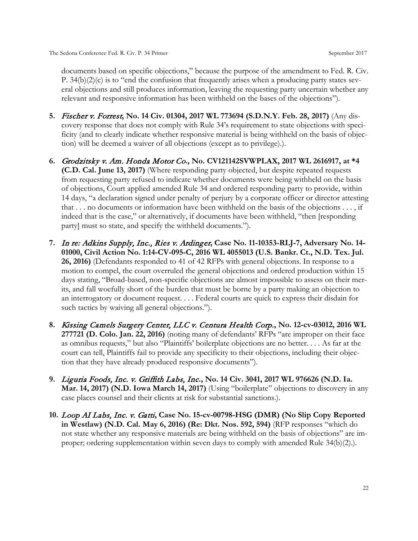documents based on specific objections," because the purpose of the amendment to Fed. R. Civ. P.  $34(b)(2)(c)$  is to "end the confusion that frequently arises when a producing party states several objections and still produces information, leaving the requesting party uncertain whether any relevant and responsive information has been withheld on the bases of the objections").

- **5.** Fischer v. Forrest**, No. 14 Civ. 01304, 2017 WL 773694 (S.D.N.Y. Feb. 28, 2017)** (Any discovery response that does not comply with Rule 34's requirement to state objections with specificity (and to clearly indicate whether responsive material is being withheld on the basis of objection) will be deemed a waiver of all objections (except as to privilege).).
- **6.** Grodzitsky v. Am. Honda Motor Co**., No. CV121142SVWPLAX, 2017 WL 2616917, at \*4 (C.D. Cal. June 13, 2017)** (Where responding party objected, but despite repeated requests from requesting party refused to indicate whether documents were being withheld on the basis of objections, Court applied amended Rule 34 and ordered responding party to provide, within 14 days, "a declaration signed under penalty of perjury by a corporate officer or director attesting that . . . no documents or information have been withheld on the basis of the objections . . . , if indeed that is the case," or alternatively, if documents have been withheld, "then [responding party] must so state, and specify the withheld documents.").
- **7.** In re: Adkins Supply, Inc., Ries v. Ardinger**, Case No. 11-10353-RLJ-7, Adversary No. 14- 01000, Civil Action No. 1:14-CV-095-C, 2016 WL 4055013 (U.S. Bankr. Ct., N.D. Tex. Jul. 26, 2016)** (Defendants responded to 41 of 42 RFPs with general objections. In response to a motion to compel, the court overruled the general objections and ordered production within 15 days stating, "Broad-based, non-specific objections are almost impossible to assess on their merits, and fall woefully short of the burden that must be borne by a party making an objection to an interrogatory or document request. . . . Federal courts are quick to express their disdain for such tactics by waiving all general objections.").
- **8.** Kissing Camels Surgery Center, LLC v. Centura Health Corp.**, No. 12-cv-03012, 2016 WL 277721 (D. Colo. Jan. 22, 2016)** (noting many of defendants' RFPs "are improper on their face as omnibus requests," but also "Plaintiffs' boilerplate objections are no better. . . . As far at the court can tell, Plaintiffs fail to provide any specificity to their objections, including their objection that they have already produced responsive documents").
- **9.** Liguria Foods, Inc. v. Griffith Labs, Inc**., No. 14 Civ. 3041, 2017 WL 976626 (N.D. Ia. Mar. 14, 2017) (N.D. Iowa March 14, 2017)** (Using "boilerplate" objections to discovery in any case places counsel and their clients at risk for substantial sanctions.).
- **10.** Loop AI Labs, Inc. v. Gatti**, Case No. 15-cv-00798-HSG (DMR) (No Slip Copy Reported in Westlaw) (N.D. Cal. May 6, 2016) (Re: Dkt. Nos. 592, 594)** (RFP responses "which do not state whether any responsive materials are being withheld on the basis of objections" are improper; ordering supplementation within seven days to comply with amended Rule 34(b)(2).).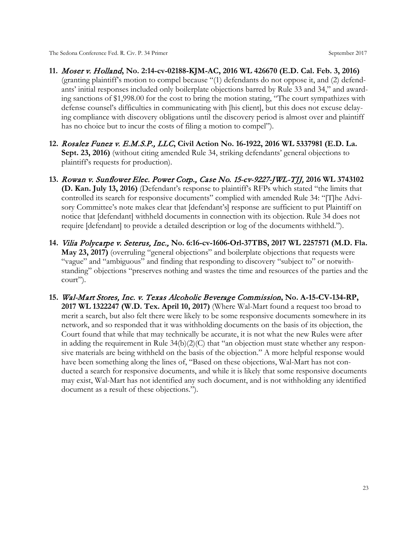- **11.** Moser v. Holland**, No. 2:14-cv-02188-KJM-AC, 2016 WL 426670 (E.D. Cal. Feb. 3, 2016)** (granting plaintiff's motion to compel because "(1) defendants do not oppose it, and (2) defendants' initial responses included only boilerplate objections barred by Rule 33 and 34," and awarding sanctions of \$1,998.00 for the cost to bring the motion stating, "The court sympathizes with defense counsel's difficulties in communicating with [his client], but this does not excuse delaying compliance with discovery obligations until the discovery period is almost over and plaintiff has no choice but to incur the costs of filing a motion to compel").
- **12.** Rosalez Funez v. E.M.S.P., LLC**, Civil Action No. 16-1922, 2016 WL 5337981 (E.D. La. Sept. 23, 2016)** (without citing amended Rule 34, striking defendants' general objections to plaintiff's requests for production).
- **13.** Rowan v. Sunflower Elec. Power Corp., Case No. 15-cv-9227-JWL-TJJ, **2016 WL 3743102 (D. Kan. July 13, 2016)** (Defendant's response to plaintiff's RFPs which stated "the limits that controlled its search for responsive documents" complied with amended Rule 34: "[T]he Advisory Committee's note makes clear that [defendant's] response are sufficient to put Plaintiff on notice that [defendant] withheld documents in connection with its objection. Rule 34 does not require [defendant] to provide a detailed description or log of the documents withheld.").
- **14.** Vilia Polycarpe v. Seterus, Inc., **No. 6:16-cv-1606-Orl-37TBS, 2017 WL 2257571 (M.D. Fla. May 23, 2017)** (overruling "general objections" and boilerplate objections that requests were "vague" and "ambiguous" and finding that responding to discovery "subject to" or notwithstanding" objections "preserves nothing and wastes the time and resources of the parties and the court").
- **15.** Wal-Mart Stores, Inc. v. Texas Alcoholic Beverage Commission**, No. A-15-CV-134-RP, 2017 WL 1322247 (W.D. Tex. April 10, 2017)** (Where Wal-Mart found a request too broad to merit a search, but also felt there were likely to be some responsive documents somewhere in its network, and so responded that it was withholding documents on the basis of its objection, the Court found that while that may technically be accurate, it is not what the new Rules were after in adding the requirement in Rule  $34(b)(2)(C)$  that "an objection must state whether any responsive materials are being withheld on the basis of the objection." A more helpful response would have been something along the lines of, "Based on these objections, Wal-Mart has not conducted a search for responsive documents, and while it is likely that some responsive documents may exist, Wal-Mart has not identified any such document, and is not withholding any identified document as a result of these objections.").